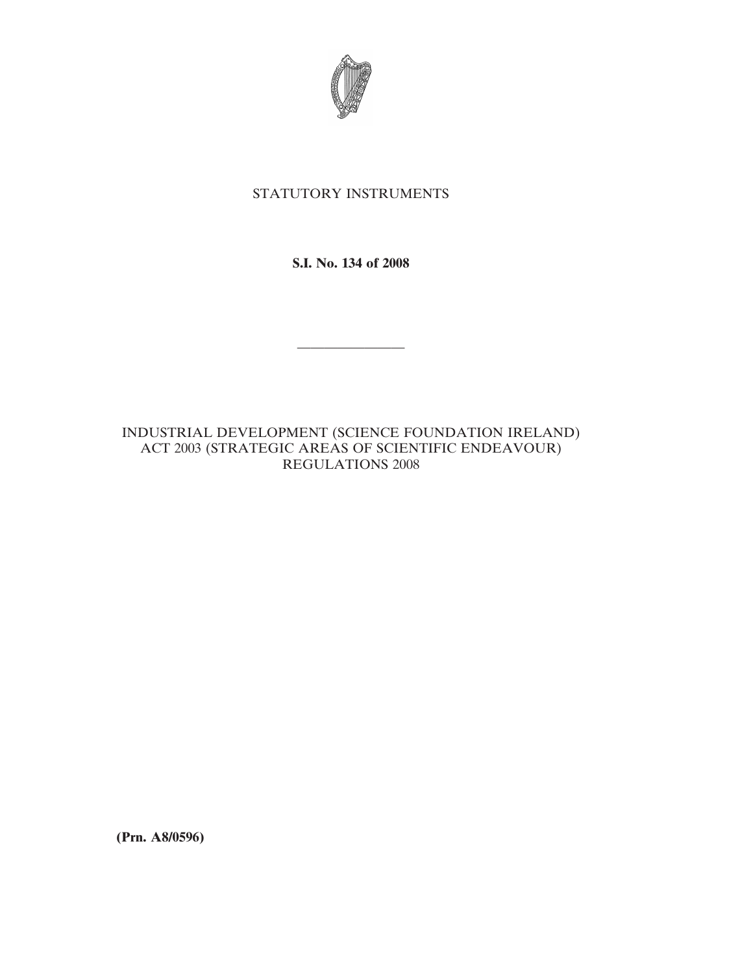

## STATUTORY INSTRUMENTS

**S.I. No. 134 of 2008**

————————

INDUSTRIAL DEVELOPMENT (SCIENCE FOUNDATION IRELAND) ACT 2003 (STRATEGIC AREAS OF SCIENTIFIC ENDEAVOUR) REGULATIONS 2008

**(Prn. A8/0596)**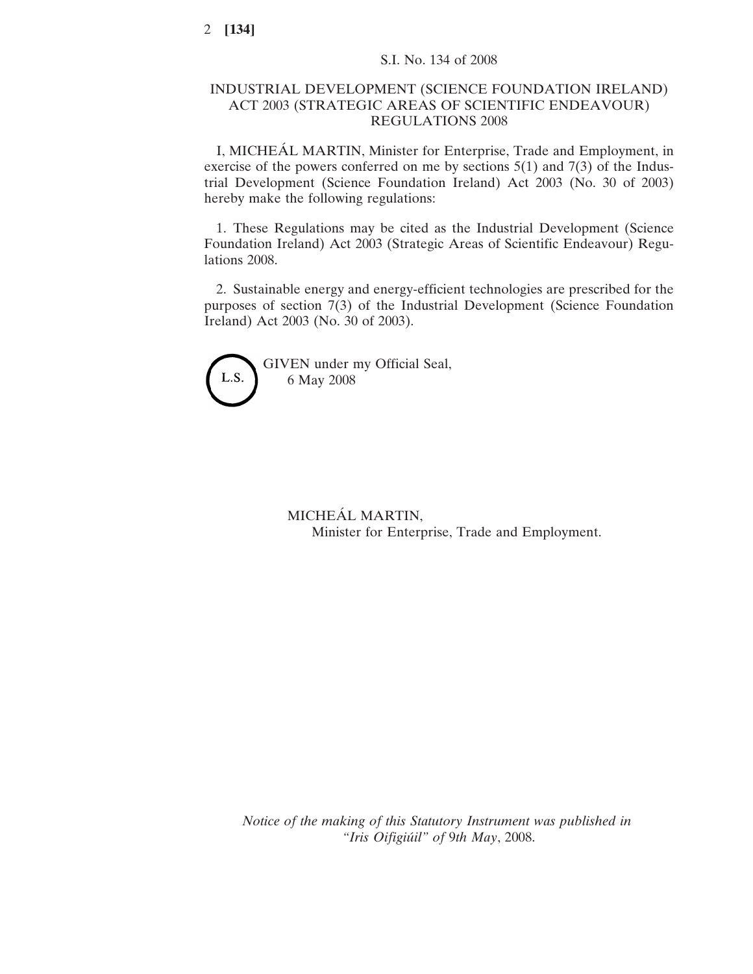## INDUSTRIAL DEVELOPMENT (SCIENCE FOUNDATION IRELAND) ACT 2003 (STRATEGIC AREAS OF SCIENTIFIC ENDEAVOUR) REGULATIONS 2008

I, MICHEÁL MARTIN, Minister for Enterprise, Trade and Employment, in exercise of the powers conferred on me by sections  $5(1)$  and  $7(3)$  of the Industrial Development (Science Foundation Ireland) Act 2003 (No. 30 of 2003) hereby make the following regulations:

1. These Regulations may be cited as the Industrial Development (Science Foundation Ireland) Act 2003 (Strategic Areas of Scientific Endeavour) Regulations 2008.

2. Sustainable energy and energy-efficient technologies are prescribed for the purposes of section 7(3) of the Industrial Development (Science Foundation Ireland) Act 2003 (No. 30 of 2003).



GIVEN under my Official Seal, 6 May 2008

> MICHEÁL MARTIN, Minister for Enterprise, Trade and Employment.

*Notice of the making of this Statutory Instrument was published in "Iris Oifigiu´il" of* 9*th May*, 2008.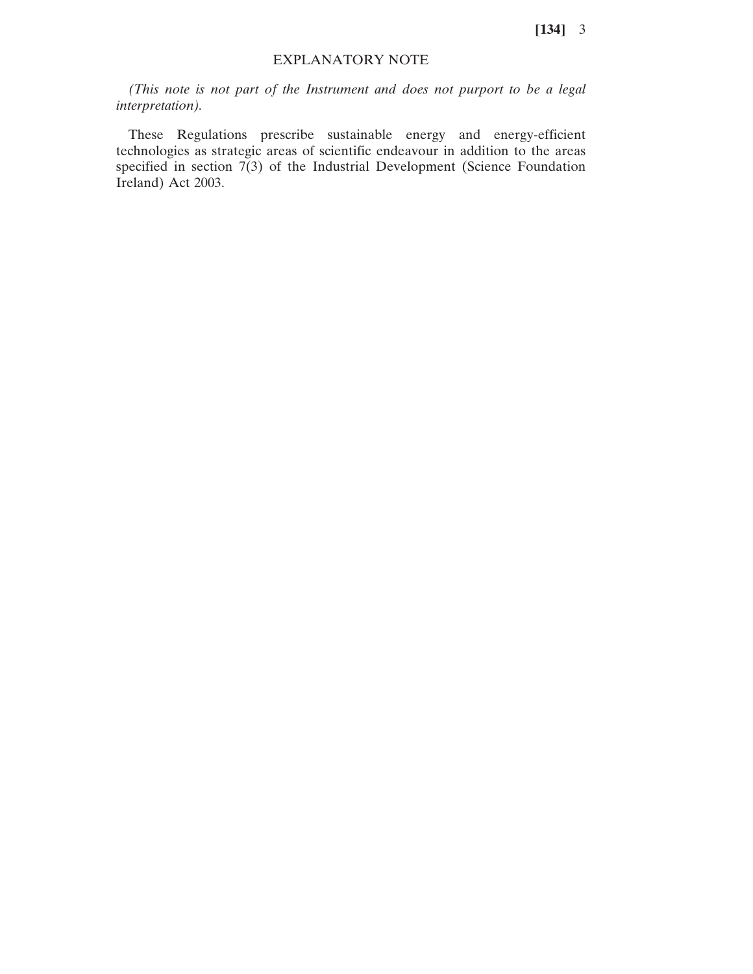**[134]** 3

## EXPLANATORY NOTE

*(This note is not part of the Instrument and does not purport to be a legal interpretation).*

These Regulations prescribe sustainable energy and energy-efficient technologies as strategic areas of scientific endeavour in addition to the areas specified in section  $7(3)$  of the Industrial Development (Science Foundation Ireland) Act 2003.